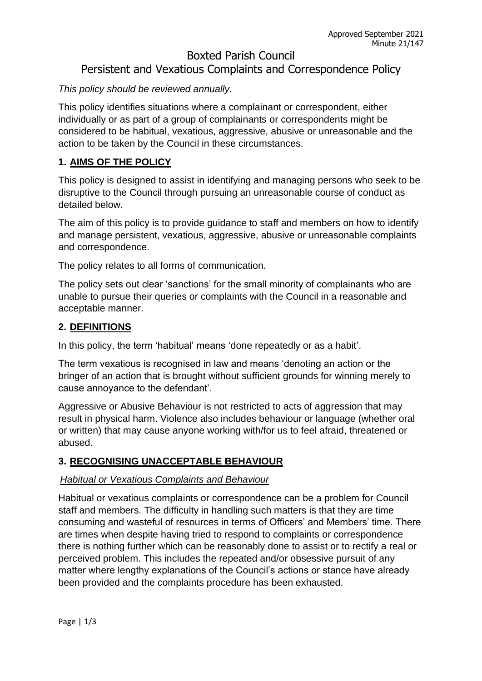# Boxted Parish Council Persistent and Vexatious Complaints and Correspondence Policy

## *This policy should be reviewed annually.*

This policy identifies situations where a complainant or correspondent, either individually or as part of a group of complainants or correspondents might be considered to be habitual, vexatious, aggressive, abusive or unreasonable and the action to be taken by the Council in these circumstances.

## **1. AIMS OF THE POLICY**

This policy is designed to assist in identifying and managing persons who seek to be disruptive to the Council through pursuing an unreasonable course of conduct as detailed below.

The aim of this policy is to provide guidance to staff and members on how to identify and manage persistent, vexatious, aggressive, abusive or unreasonable complaints and correspondence.

The policy relates to all forms of communication.

The policy sets out clear 'sanctions' for the small minority of complainants who are unable to pursue their queries or complaints with the Council in a reasonable and acceptable manner.

## **2. DEFINITIONS**

In this policy, the term 'habitual' means 'done repeatedly or as a habit'.

The term vexatious is recognised in law and means 'denoting an action or the bringer of an action that is brought without sufficient grounds for winning merely to cause annoyance to the defendant'.

Aggressive or Abusive Behaviour is not restricted to acts of aggression that may result in physical harm. Violence also includes behaviour or language (whether oral or written) that may cause anyone working with/for us to feel afraid, threatened or abused.

## **3. RECOGNISING UNACCEPTABLE BEHAVIOUR**

## *Habitual or Vexatious Complaints and Behaviour*

Habitual or vexatious complaints or correspondence can be a problem for Council staff and members. The difficulty in handling such matters is that they are time consuming and wasteful of resources in terms of Officers' and Members' time. There are times when despite having tried to respond to complaints or correspondence there is nothing further which can be reasonably done to assist or to rectify a real or perceived problem. This includes the repeated and/or obsessive pursuit of any matter where lengthy explanations of the Council's actions or stance have already been provided and the complaints procedure has been exhausted.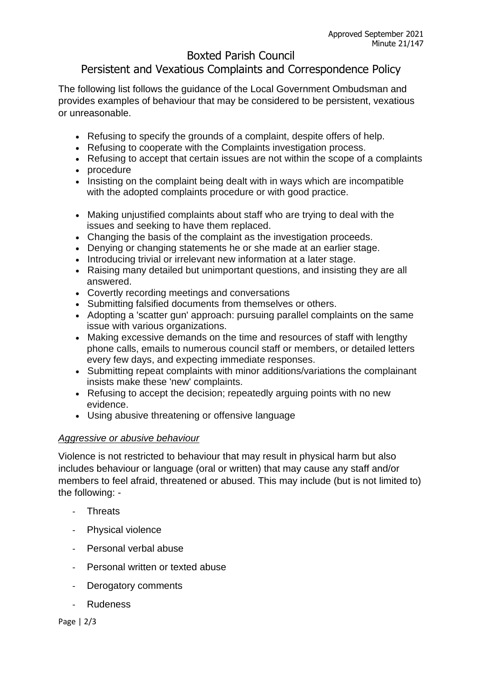# Boxted Parish Council

# Persistent and Vexatious Complaints and Correspondence Policy

The following list follows the guidance of the Local Government Ombudsman and provides examples of behaviour that may be considered to be persistent, vexatious or unreasonable.

- Refusing to specify the grounds of a complaint, despite offers of help.
- Refusing to cooperate with the Complaints investigation process.
- Refusing to accept that certain issues are not within the scope of a complaints
- procedure
- Insisting on the complaint being dealt with in ways which are incompatible with the adopted complaints procedure or with good practice.
- Making unjustified complaints about staff who are trying to deal with the issues and seeking to have them replaced.
- Changing the basis of the complaint as the investigation proceeds.
- Denying or changing statements he or she made at an earlier stage.
- Introducing trivial or irrelevant new information at a later stage.
- Raising many detailed but unimportant questions, and insisting they are all answered.
- Covertly recording meetings and conversations
- Submitting falsified documents from themselves or others.
- Adopting a 'scatter gun' approach: pursuing parallel complaints on the same issue with various organizations.
- Making excessive demands on the time and resources of staff with lengthy phone calls, emails to numerous council staff or members, or detailed letters every few days, and expecting immediate responses.
- Submitting repeat complaints with minor additions/variations the complainant insists make these 'new' complaints.
- Refusing to accept the decision; repeatedly arguing points with no new evidence.
- Using abusive threatening or offensive language

#### *Aggressive or abusive behaviour*

Violence is not restricted to behaviour that may result in physical harm but also includes behaviour or language (oral or written) that may cause any staff and/or members to feel afraid, threatened or abused. This may include (but is not limited to) the following: -

- **Threats**
- Physical violence
- Personal verbal abuse
- Personal written or texted abuse
- Derogatory comments
- Rudeness